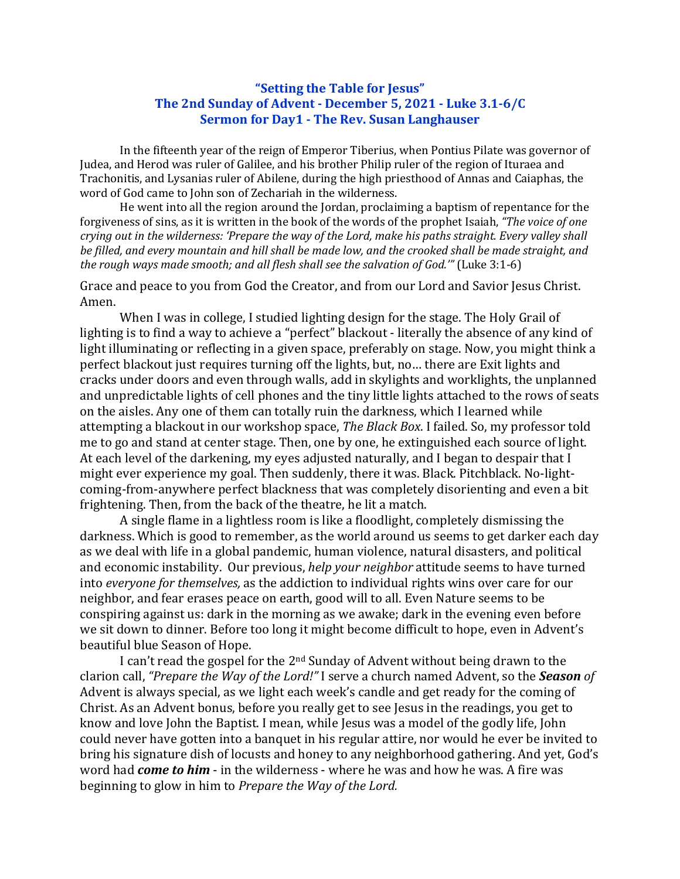## **"Setting the Table for Jesus" The 2nd Sunday of Advent - December 5, 2021 - Luke 3.1-6/C Sermon for Day1 - The Rev. Susan Langhauser**

In the fifteenth year of the reign of Emperor Tiberius, when Pontius Pilate was governor of Judea, and Herod was ruler of Galilee, and his brother Philip ruler of the region of Ituraea and Trachonitis, and Lysanias ruler of Abilene, during the high priesthood of Annas and Caiaphas, the word of God came to John son of Zechariah in the wilderness.

He went into all the region around the Jordan, proclaiming a baptism of repentance for the forgiveness of sins, as it is written in the book of the words of the prophet Isaiah, "The voice of one *crying* out in the wilderness: 'Prepare the way of the Lord, make his paths straight. Every valley shall be filled, and every mountain and hill shall be made low, and the crooked shall be made straight, and *the rough ways made smooth; and all flesh shall see the salvation of God.'"* (Luke 3:1-6)

Grace and peace to you from God the Creator, and from our Lord and Savior Jesus Christ. Amen.

When I was in college, I studied lighting design for the stage. The Holy Grail of lighting is to find a way to achieve a "perfect" blackout - literally the absence of any kind of light illuminating or reflecting in a given space, preferably on stage. Now, you might think a perfect blackout just requires turning off the lights, but, no... there are Exit lights and cracks under doors and even through walls, add in skylights and worklights, the unplanned and unpredictable lights of cell phones and the tiny little lights attached to the rows of seats on the aisles. Any one of them can totally ruin the darkness, which I learned while attempting a blackout in our workshop space, *The Black Box*. I failed. So, my professor told me to go and stand at center stage. Then, one by one, he extinguished each source of light. At each level of the darkening, my eyes adjusted naturally, and I began to despair that I might ever experience my goal. Then suddenly, there it was. Black. Pitchblack. No-lightcoming-from-anywhere perfect blackness that was completely disorienting and even a bit frightening. Then, from the back of the theatre, he lit a match.

A single flame in a lightless room is like a floodlight, completely dismissing the darkness. Which is good to remember, as the world around us seems to get darker each day as we deal with life in a global pandemic, human violence, natural disasters, and political and economic instability. Our previous, *help your neighbor* attitude seems to have turned into *everyone for themselves*, as the addiction to individual rights wins over care for our neighbor, and fear erases peace on earth, good will to all. Even Nature seems to be conspiring against us: dark in the morning as we awake; dark in the evening even before we sit down to dinner. Before too long it might become difficult to hope, even in Advent's beautiful blue Season of Hope.

I can't read the gospel for the  $2<sup>nd</sup>$  Sunday of Advent without being drawn to the clarion call, "Prepare the Way of the Lord!" I serve a church named Advent, so the **Season** of Advent is always special, as we light each week's candle and get ready for the coming of Christ. As an Advent bonus, before you really get to see Jesus in the readings, you get to know and love John the Baptist. I mean, while Jesus was a model of the godly life, John could never have gotten into a banquet in his regular attire, nor would he ever be invited to bring his signature dish of locusts and honey to any neighborhood gathering. And yet, God's word had *come to him* - in the wilderness - where he was and how he was. A fire was beginning to glow in him to *Prepare the Way of the Lord.*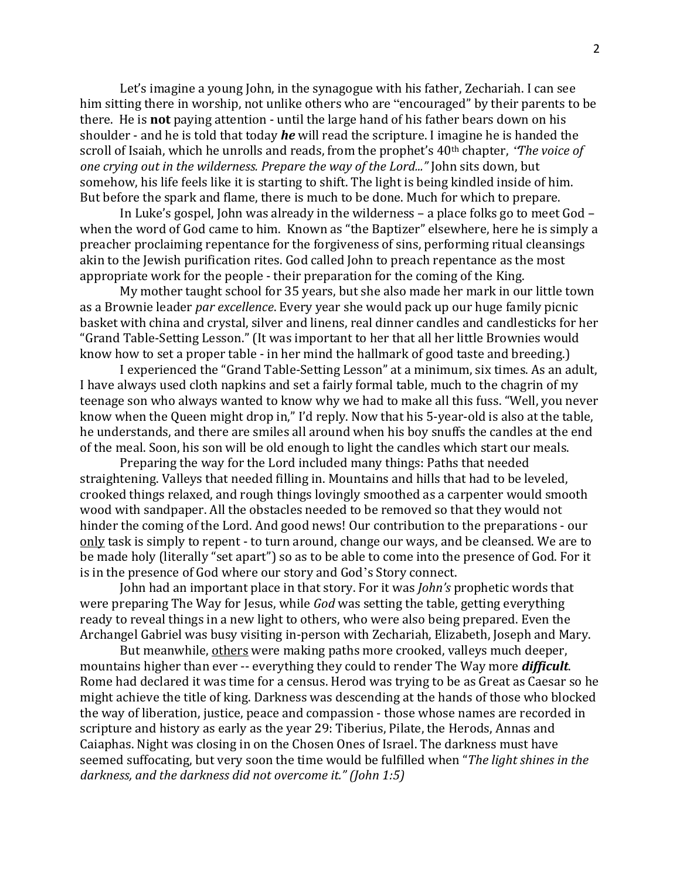Let's imagine a young John, in the synagogue with his father, Zechariah. I can see him sitting there in worship, not unlike others who are "encouraged" by their parents to be there. He is **not** paying attention - until the large hand of his father bears down on his shoulder - and he is told that today *he* will read the scripture. I imagine he is handed the scroll of Isaiah, which he unrolls and reads, from the prophet's 40<sup>th</sup> chapter, *'The voice of one crying out in the wilderness. Prepare the way of the Lord..."* John sits down, but somehow, his life feels like it is starting to shift. The light is being kindled inside of him. But before the spark and flame, there is much to be done. Much for which to prepare.

In Luke's gospel, John was already in the wilderness – a place folks go to meet  $God$ when the word of God came to him. Known as "the Baptizer" elsewhere, here he is simply a preacher proclaiming repentance for the forgiveness of sins, performing ritual cleansings akin to the Jewish purification rites. God called John to preach repentance as the most appropriate work for the people - their preparation for the coming of the King.

My mother taught school for 35 years, but she also made her mark in our little town as a Brownie leader *par excellence*. Every year she would pack up our huge family picnic basket with china and crystal, silver and linens, real dinner candles and candlesticks for her "Grand Table-Setting Lesson." (It was important to her that all her little Brownies would know how to set a proper table - in her mind the hallmark of good taste and breeding.)

I experienced the "Grand Table-Setting Lesson" at a minimum, six times. As an adult, I have always used cloth napkins and set a fairly formal table, much to the chagrin of my teenage son who always wanted to know why we had to make all this fuss. "Well, you never know when the Queen might drop in," I'd reply. Now that his 5-year-old is also at the table, he understands, and there are smiles all around when his boy snuffs the candles at the end of the meal. Soon, his son will be old enough to light the candles which start our meals.

Preparing the way for the Lord included many things: Paths that needed straightening. Valleys that needed filling in. Mountains and hills that had to be leveled, crooked things relaxed, and rough things lovingly smoothed as a carpenter would smooth wood with sandpaper. All the obstacles needed to be removed so that they would not hinder the coming of the Lord. And good news! Our contribution to the preparations - our only task is simply to repent - to turn around, change our ways, and be cleansed. We are to be made holy (literally "set apart") so as to be able to come into the presence of God. For it is in the presence of God where our story and God's Story connect.

John had an important place in that story. For it was *John's* prophetic words that were preparing The Way for Jesus, while *God* was setting the table, getting everything ready to reveal things in a new light to others, who were also being prepared. Even the Archangel Gabriel was busy visiting in-person with Zechariah, Elizabeth, Joseph and Mary.

But meanwhile, others were making paths more crooked, valleys much deeper, mountains higher than ever -- everything they could to render The Way more *difficult*. Rome had declared it was time for a census. Herod was trying to be as Great as Caesar so he might achieve the title of king. Darkness was descending at the hands of those who blocked the way of liberation, justice, peace and compassion - those whose names are recorded in scripture and history as early as the year 29: Tiberius, Pilate, the Herods, Annas and Caiaphas. Night was closing in on the Chosen Ones of Israel. The darkness must have seemed suffocating, but very soon the time would be fulfilled when "The light shines in the darkness, and the darkness did not overcome *it."* (John 1:5)